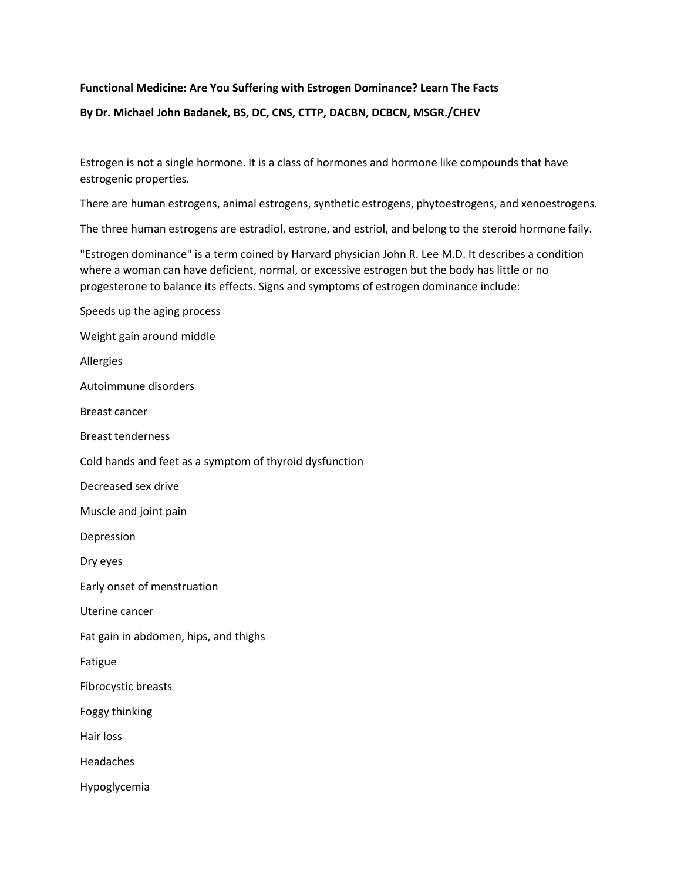## **Functional Medicine: Are You Suffering with Estrogen Dominance? Learn The Facts**

# **By Dr. Michael John Badanek, BS, DC, CNS, CTTP, DACBN, DCBCN, MSGR./CHEV**

Estrogen is not a single hormone. It is a class of hormones and hormone like compounds that have estrogenic properties.

There are human estrogens, animal estrogens, synthetic estrogens, phytoestrogens, and xenoestrogens.

The three human estrogens are estradiol, estrone, and estriol, and belong to the steroid hormone faily.

"Estrogen dominance" is a term coined by Harvard physician John R. Lee M.D. It describes a condition where a woman can have deficient, normal, or excessive estrogen but the body has little or no progesterone to balance its effects. Signs and symptoms of estrogen dominance include:

Speeds up the aging process

Weight gain around middle

Allergies

Autoimmune disorders

Breast cancer

Breast tenderness

Cold hands and feet as a symptom of thyroid dysfunction

Decreased sex drive

Muscle and joint pain

Depression

Dry eyes

Early onset of menstruation

Uterine cancer

Fat gain in abdomen, hips, and thighs

Fatigue

Fibrocystic breasts

Foggy thinking

Hair loss

Headaches

Hypoglycemia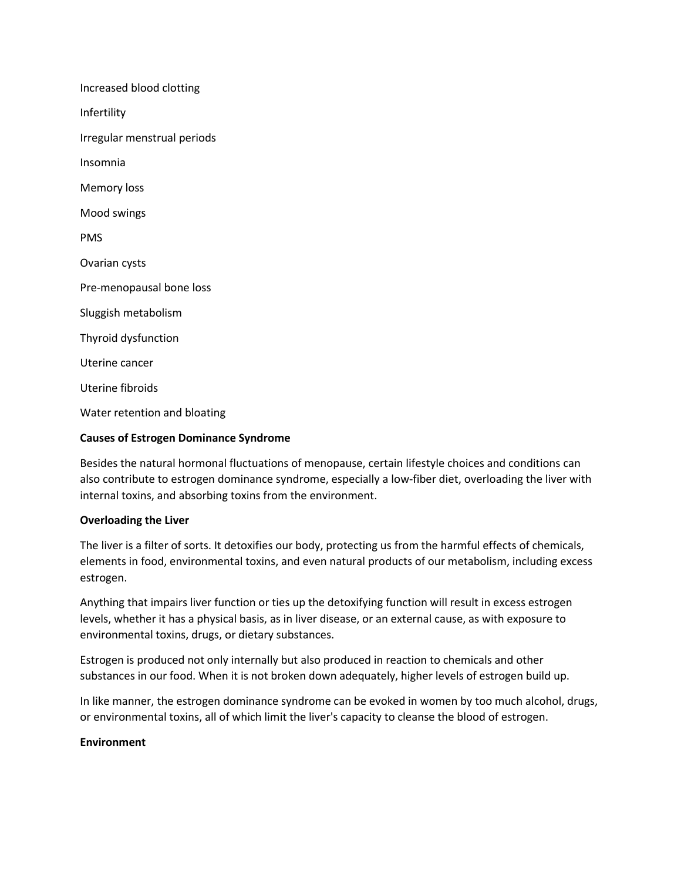Increased blood clotting Infertility Irregular menstrual periods Insomnia Memory loss Mood swings PMS Ovarian cysts Pre-menopausal bone loss Sluggish metabolism Thyroid dysfunction Uterine cancer Uterine fibroids Water retention and bloating

### **Causes of Estrogen Dominance Syndrome**

Besides the natural hormonal fluctuations of menopause, certain lifestyle choices and conditions can also contribute to estrogen dominance syndrome, especially a low-fiber diet, overloading the liver with internal toxins, and absorbing toxins from the environment.

### **Overloading the Liver**

The liver is a filter of sorts. It detoxifies our body, protecting us from the harmful effects of chemicals, elements in food, environmental toxins, and even natural products of our metabolism, including excess estrogen.

Anything that impairs liver function or ties up the detoxifying function will result in excess estrogen levels, whether it has a physical basis, as in liver disease, or an external cause, as with exposure to environmental toxins, drugs, or dietary substances.

Estrogen is produced not only internally but also produced in reaction to chemicals and other substances in our food. When it is not broken down adequately, higher levels of estrogen build up.

In like manner, the estrogen dominance syndrome can be evoked in women by too much alcohol, drugs, or environmental toxins, all of which limit the liver's capacity to cleanse the blood of estrogen.

### **Environment**